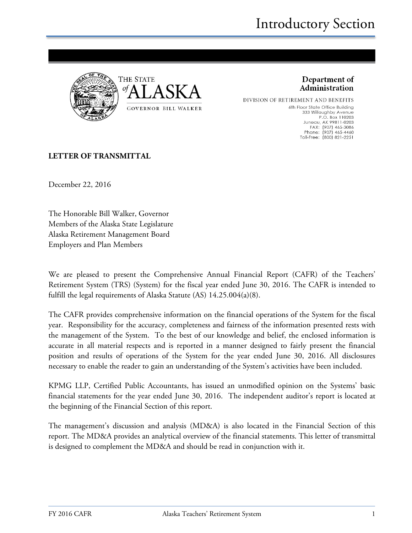

Department of Administration

DIVISION OF RETIREMENT AND BENEFITS 6th Floor State Office Building 333 Willoughby Avenue P.O. Box 110203 1.0.1 MX 99811-0203<br>FAX: (907) 465-3086<br>Phone: (907) 465-4460<br>Toll-Free: (800) 821-2251

#### **LETTER OF TRANSMITTAL**

December 22, 2016

The Honorable Bill Walker, Governor Members of the Alaska State Legislature Alaska Retirement Management Board Employers and Plan Members

We are pleased to present the Comprehensive Annual Financial Report (CAFR) of the Teachers' Retirement System (TRS) (System) for the fiscal year ended June 30, 2016. The CAFR is intended to fulfill the legal requirements of Alaska Statute (AS) 14.25.004(a)(8).

The CAFR provides comprehensive information on the financial operations of the System for the fiscal year. Responsibility for the accuracy, completeness and fairness of the information presented rests with the management of the System. To the best of our knowledge and belief, the enclosed information is accurate in all material respects and is reported in a manner designed to fairly present the financial position and results of operations of the System for the year ended June 30, 2016. All disclosures necessary to enable the reader to gain an understanding of the System's activities have been included.

KPMG LLP, Certified Public Accountants, has issued an unmodified opinion on the Systems' basic financial statements for the year ended June 30, 2016. The independent auditor's report is located at the beginning of the Financial Section of this report.

The management's discussion and analysis (MD&A) is also located in the Financial Section of this report. The MD&A provides an analytical overview of the financial statements. This letter of transmittal is designed to complement the MD&A and should be read in conjunction with it.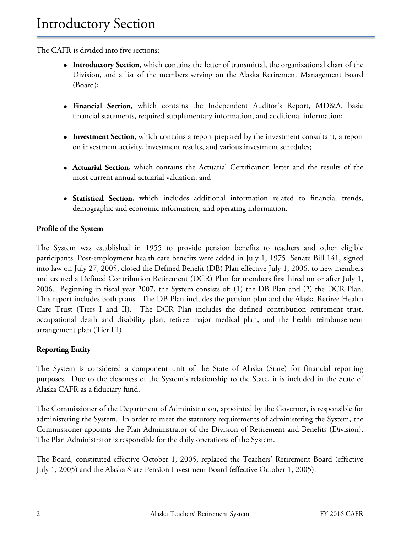The CAFR is divided into five sections:

- **Introductory Section**, which contains the letter of transmittal, the organizational chart of the Division, and a list of the members serving on the Alaska Retirement Management Board (Board);
- **Financial Section**, which contains the Independent Auditor's Report, MD&A, basic financial statements, required supplementary information, and additional information;
- **Investment Section**, which contains a report prepared by the investment consultant, a report on investment activity, investment results, and various investment schedules;
- **Actuarial Section**, which contains the Actuarial Certification letter and the results of the most current annual actuarial valuation; and
- **Statistical Section**, which includes additional information related to financial trends, demographic and economic information, and operating information.

#### **Profile of the System**

The System was established in 1955 to provide pension benefits to teachers and other eligible participants. Post-employment health care benefits were added in July 1, 1975. Senate Bill 141, signed into law on July 27, 2005, closed the Defined Benefit (DB) Plan effective July 1, 2006, to new members and created a Defined Contribution Retirement (DCR) Plan for members first hired on or after July 1, 2006. Beginning in fiscal year 2007, the System consists of: (1) the DB Plan and (2) the DCR Plan. This report includes both plans. The DB Plan includes the pension plan and the Alaska Retiree Health Care Trust (Tiers I and II). The DCR Plan includes the defined contribution retirement trust, occupational death and disability plan, retiree major medical plan, and the health reimbursement arrangement plan (Tier III).

#### **Reporting Entity**

The System is considered a component unit of the State of Alaska (State) for financial reporting purposes. Due to the closeness of the System's relationship to the State, it is included in the State of Alaska CAFR as a fiduciary fund.

The Commissioner of the Department of Administration, appointed by the Governor, is responsible for administering the System. In order to meet the statutory requirements of administering the System, the Commissioner appoints the Plan Administrator of the Division of Retirement and Benefits (Division). The Plan Administrator is responsible for the daily operations of the System.

The Board, constituted effective October 1, 2005, replaced the Teachers' Retirement Board (effective July 1, 2005) and the Alaska State Pension Investment Board (effective October 1, 2005).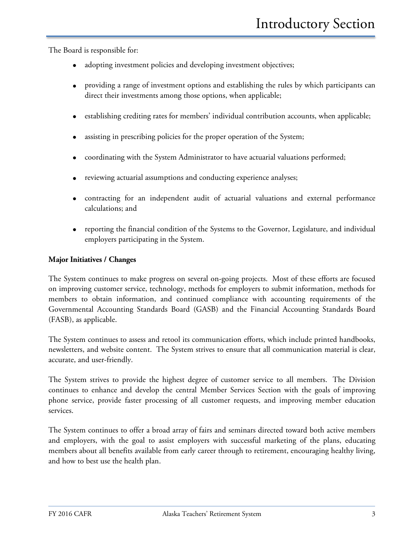The Board is responsible for:

- adopting investment policies and developing investment objectives;
- providing a range of investment options and establishing the rules by which participants can direct their investments among those options, when applicable;
- establishing crediting rates for members' individual contribution accounts, when applicable;
- assisting in prescribing policies for the proper operation of the System;
- coordinating with the System Administrator to have actuarial valuations performed;
- reviewing actuarial assumptions and conducting experience analyses;
- contracting for an independent audit of actuarial valuations and external performance calculations; and
- reporting the financial condition of the Systems to the Governor, Legislature, and individual employers participating in the System.

#### **Major Initiatives / Changes**

The System continues to make progress on several on-going projects. Most of these efforts are focused on improving customer service, technology, methods for employers to submit information, methods for members to obtain information, and continued compliance with accounting requirements of the Governmental Accounting Standards Board (GASB) and the Financial Accounting Standards Board (FASB), as applicable.

The System continues to assess and retool its communication efforts, which include printed handbooks, newsletters, and website content. The System strives to ensure that all communication material is clear, accurate, and user-friendly.

The System strives to provide the highest degree of customer service to all members. The Division continues to enhance and develop the central Member Services Section with the goals of improving phone service, provide faster processing of all customer requests, and improving member education services.

The System continues to offer a broad array of fairs and seminars directed toward both active members and employers, with the goal to assist employers with successful marketing of the plans, educating members about all benefits available from early career through to retirement, encouraging healthy living, and how to best use the health plan.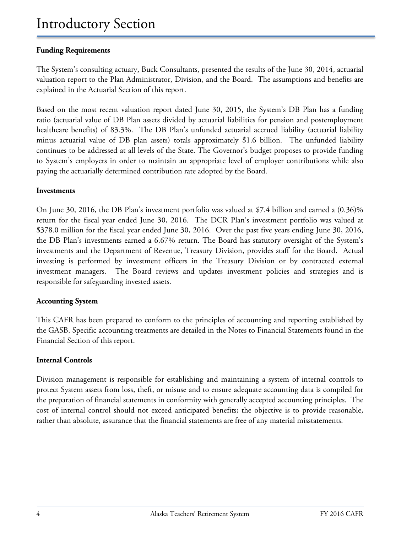#### **Funding Requirements**

The System's consulting actuary, Buck Consultants, presented the results of the June 30, 2014, actuarial valuation report to the Plan Administrator, Division, and the Board. The assumptions and benefits are explained in the Actuarial Section of this report.

Based on the most recent valuation report dated June 30, 2015, the System's DB Plan has a funding ratio (actuarial value of DB Plan assets divided by actuarial liabilities for pension and postemployment healthcare benefits) of 83.3%. The DB Plan's unfunded actuarial accrued liability (actuarial liability minus actuarial value of DB plan assets) totals approximately \$1.6 billion. The unfunded liability continues to be addressed at all levels of the State. The Governor's budget proposes to provide funding to System's employers in order to maintain an appropriate level of employer contributions while also paying the actuarially determined contribution rate adopted by the Board.

#### **Investments**

On June 30, 2016, the DB Plan's investment portfolio was valued at \$7.4 billion and earned a (0.36)% return for the fiscal year ended June 30, 2016. The DCR Plan's investment portfolio was valued at \$378.0 million for the fiscal year ended June 30, 2016. Over the past five years ending June 30, 2016, the DB Plan's investments earned a 6.67% return. The Board has statutory oversight of the System's investments and the Department of Revenue, Treasury Division, provides staff for the Board. Actual investing is performed by investment officers in the Treasury Division or by contracted external investment managers. The Board reviews and updates investment policies and strategies and is responsible for safeguarding invested assets.

#### **Accounting System**

This CAFR has been prepared to conform to the principles of accounting and reporting established by the GASB. Specific accounting treatments are detailed in the Notes to Financial Statements found in the Financial Section of this report.

#### **Internal Controls**

Division management is responsible for establishing and maintaining a system of internal controls to protect System assets from loss, theft, or misuse and to ensure adequate accounting data is compiled for the preparation of financial statements in conformity with generally accepted accounting principles. The cost of internal control should not exceed anticipated benefits; the objective is to provide reasonable, rather than absolute, assurance that the financial statements are free of any material misstatements.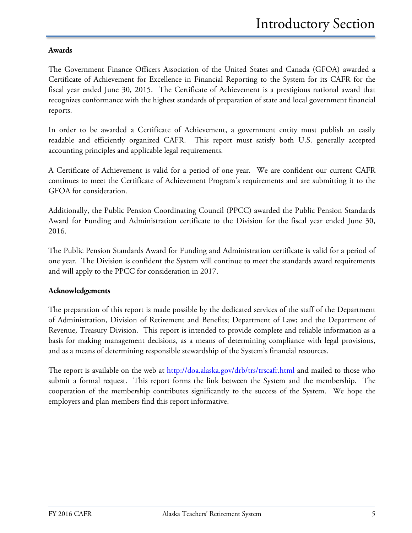#### **Awards**

The Government Finance Officers Association of the United States and Canada (GFOA) awarded a Certificate of Achievement for Excellence in Financial Reporting to the System for its CAFR for the fiscal year ended June 30, 2015. The Certificate of Achievement is a prestigious national award that recognizes conformance with the highest standards of preparation of state and local government financial reports.

In order to be awarded a Certificate of Achievement, a government entity must publish an easily readable and efficiently organized CAFR. This report must satisfy both U.S. generally accepted accounting principles and applicable legal requirements.

A Certificate of Achievement is valid for a period of one year. We are confident our current CAFR continues to meet the Certificate of Achievement Program's requirements and are submitting it to the GFOA for consideration.

Additionally, the Public Pension Coordinating Council (PPCC) awarded the Public Pension Standards Award for Funding and Administration certificate to the Division for the fiscal year ended June 30, 2016.

The Public Pension Standards Award for Funding and Administration certificate is valid for a period of one year. The Division is confident the System will continue to meet the standards award requirements and will apply to the PPCC for consideration in 2017.

#### **Acknowledgements**

The preparation of this report is made possible by the dedicated services of the staff of the Department of Administration, Division of Retirement and Benefits; Department of Law; and the Department of Revenue, Treasury Division. This report is intended to provide complete and reliable information as a basis for making management decisions, as a means of determining compliance with legal provisions, and as a means of determining responsible stewardship of the System's financial resources.

The report is available on the web at http://doa.alaska.gov/drb/trs/trscafr.html and mailed to those who submit a formal request. This report forms the link between the System and the membership. The cooperation of the membership contributes significantly to the success of the System. We hope the employers and plan members find this report informative.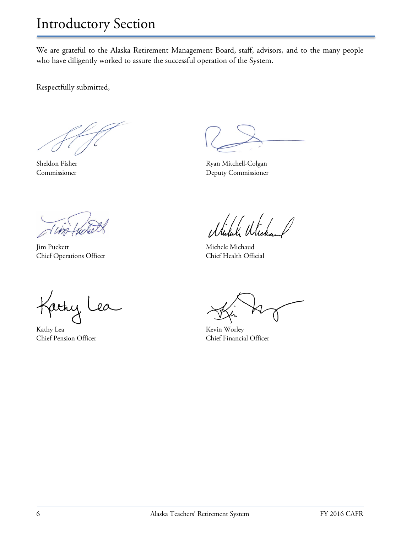We are grateful to the Alaska Retirement Management Board, staff, advisors, and to the many people who have diligently worked to assure the successful operation of the System.

Respectfully submitted,

Jim Puckett Michaud Michele Michaud Chief Operations Officer Chief Health Official

Jachy L  $\star$  $a$ 

Kathy Lea Kevin Worley

Sheldon Fisher Ryan Mitchell-Colgan Commissioner Deputy Commissioner

Chief Pension Officer Chief Financial Officer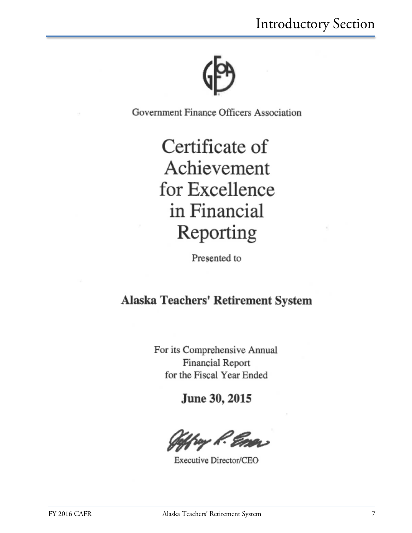

Government Finance Officers Association

Certificate of Achievement for Excellence in Financial Reporting

Presented to

### Alaska Teachers' Retirement System

For its Comprehensive Annual Financial Report for the Fiscal Year Ended

June 30, 2015

v K.

Executive Director/CEO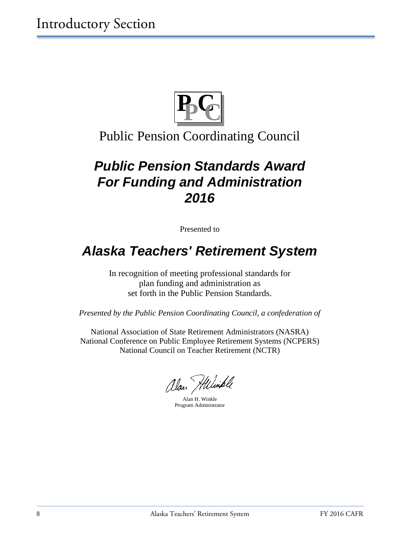

### Public Pension Coordinating Council

# *Public Pension Standards Award For Funding and Administration 2016*

Presented to

## *Alaska Teachers' Retirement System*

In recognition of meeting professional standards for plan funding and administration as set forth in the Public Pension Standards.

*Presented by the Public Pension Coordinating Council, a confederation of*

National Association of State Retirement Administrators (NASRA) National Conference on Public Employee Retirement Systems (NCPERS) National Council on Teacher Retirement (NCTR)

alan Hiliniple

Alan H. Winkle Program Administrator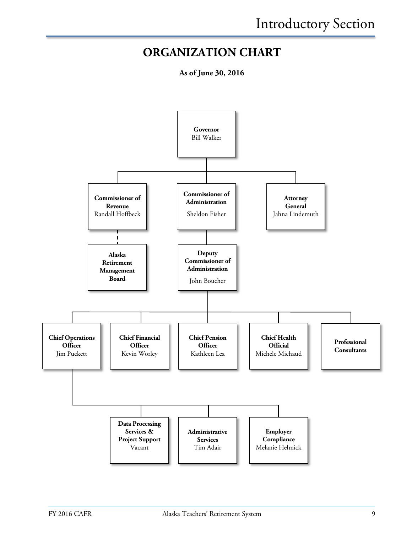### **ORGANIZATION CHART**

**As of June 30, 2016**

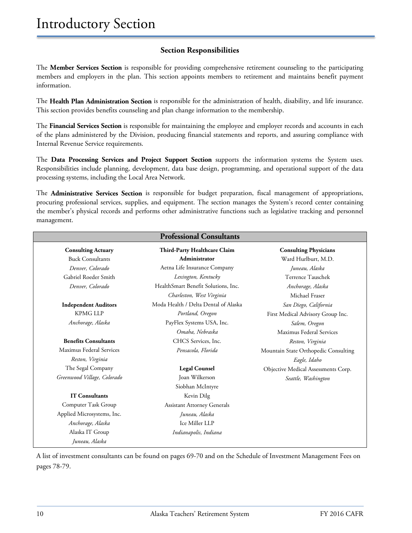#### **Section Responsibilities**

The **Member Services Section** is responsible for providing comprehensive retirement counseling to the participating members and employers in the plan. This section appoints members to retirement and maintains benefit payment information.

The **Health Plan Administration Section** is responsible for the administration of health, disability, and life insurance. This section provides benefits counseling and plan change information to the membership.

The **Financial Services Section** is responsible for maintaining the employee and employer records and accounts in each of the plans administered by the Division, producing financial statements and reports, and assuring compliance with Internal Revenue Service requirements.

The **Data Processing Services and Project Support Section** supports the information systems the System uses. Responsibilities include planning, development, data base design, programming, and operational support of the data processing systems, including the Local Area Network.

The **Administrative Services Section** is responsible for budget preparation, fiscal management of appropriations, procuring professional services, supplies, and equipment. The section manages the System's record center containing the member's physical records and performs other administrative functions such as legislative tracking and personnel management.

| <b>Professional Consultants</b> |                                      |                                      |
|---------------------------------|--------------------------------------|--------------------------------------|
| <b>Consulting Actuary</b>       | Third-Party Healthcare Claim         | <b>Consulting Physicians</b>         |
| <b>Buck Consultants</b>         | Administrator                        | Ward Hurlburt, M.D.                  |
| Denver, Colorado                | Aetna Life Insurance Company         | Juneau, Alaska                       |
| Gabriel Roeder Smith            | Lexington, Kentucky                  | Terrence Tauschek                    |
| Denver, Colorado                | HealthSmart Benefit Solutions, Inc.  | Anchorage, Alaska                    |
|                                 | Charleston, West Virginia            | Michael Fraser                       |
| <b>Independent Auditors</b>     | Moda Health / Delta Dental of Alaska | San Diego, California                |
| <b>KPMG LLP</b>                 | Portland, Oregon                     | First Medical Advisory Group Inc.    |
| Anchorage, Alaska               | PayFlex Systems USA, Inc.            | Salem, Oregon                        |
|                                 | Omaha, Nebraska                      | Maximus Federal Services             |
| <b>Benefits Consultants</b>     | CHCS Services, Inc.                  | Reston, Virginia                     |
| Maximus Federal Services        | Pensacola, Florida                   | Mountain State Orthopedic Consulting |
| Reston, Virginia                |                                      | Eagle, Idaho                         |
| The Segal Company               | <b>Legal Counsel</b>                 | Objective Medical Assessments Corp.  |
| Greenwood Village, Colorado     | Joan Wilkerson                       | Seattle, Washington                  |
|                                 | Siobhan McIntyre                     |                                      |
| <b>IT Consultants</b>           | Kevin Dilg                           |                                      |
| Computer Task Group             | <b>Assistant Attorney Generals</b>   |                                      |
| Applied Microsystems, Inc.      | Juneau, Alaska                       |                                      |
| Anchorage, Alaska               | Ice Miller LLP                       |                                      |
| Alaska IT Group                 | Indianapolis, Indiana                |                                      |
| Juneau, Alaska                  |                                      |                                      |

A list of investment consultants can be found on pages 69-70 and on the Schedule of Investment Management Fees on pages 78-79.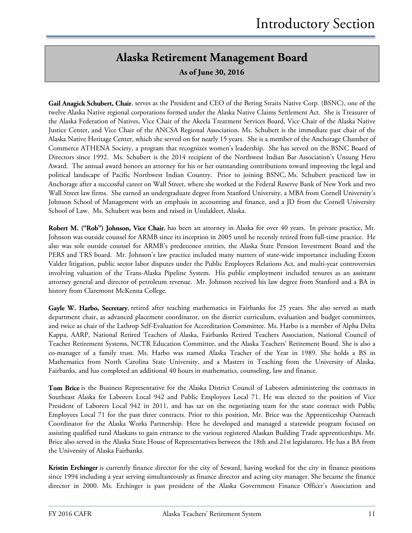### **Alaska Retirement Management Board**

**As of June 30, 2016**

**Gail Anagick Schubert, Chair**, serves as the President and CEO of the Bering Straits Native Corp. (BSNC), one of the twelve Alaska Native regional corporations formed under the Alaska Native Claims Settlement Act. She is Treasurer of the Alaska Federation of Natives, Vice Chair of the Akeela Treatment Services Board, Vice Chair of the Alaska Native Justice Center, and Vice Chair of the ANCSA Regional Association. Ms. Schubert is the immediate past chair of the Alaska Native Heritage Center, which she served on for nearly 15 years. She is a member of the Anchorage Chamber of Commerce ATHENA Society, a program that recognizes women's leadership. She has served on the BSNC Board of Directors since 1992. Ms. Schubert is the 2014 recipient of the Northwest Indian Bar Association's Unsung Hero Award. The annual award honors an attorney for his or her outstanding contributions toward improving the legal and political landscape of Pacific Northwest Indian Country. Prior to joining BSNC, Ms. Schubert practiced law in Anchorage after a successful career on Wall Street, where she worked at the Federal Reserve Bank of New York and two Wall Street law firms. She earned an undergraduate degree from Stanford University, a MBA from Cornell University's Johnson School of Management with an emphasis in accounting and finance, and a JD from the Cornell University School of Law. Ms. Schubert was born and raised in Unalakleet, Alaska.

**Robert M. ("Rob") Johnson, Vice Chair**, has been an attorney in Alaska for over 40 years. In private practice, Mr. Johnson was outside counsel for ARMB since its inception in 2005 until he recently retired from full-time practice. He also was sole outside counsel for ARMB's predecessor entities, the Alaska State Pension Investment Board and the PERS and TRS board. Mr. Johnson's law practice included many matters of state-wide importance including Exxon Valdez litigation, public sector labor disputes under the Public Employees Relations Act, and multi-year controversies involving valuation of the Trans-Alaska Pipeline System. His public employment included tenures as an assistant attorney general and director of petroleum revenue. Mr. Johnson received his law degree from Stanford and a BA in history from Claremont McKenna College.

**Gayle W. Harbo, Secretary**, retired after teaching mathematics in Fairbanks for 25 years. She also served as math department chair, as advanced placement coordinator, on the district curriculum, evaluation and budget committees, and twice as chair of the Lathrop Self-Evaluation for Accreditation Committee. Ms. Harbo is a member of Alpha Delta Kappa, AARP, National Retired Teachers of Alaska, Fairbanks Retired Teachers Association, National Council of Teacher Retirement Systems, NCTR Education Committee, and the Alaska Teachers' Retirement Board. She is also a co-manager of a family trust. Ms. Harbo was named Alaska Teacher of the Year in 1989. She holds a BS in Mathematics from North Carolina State University, and a Masters in Teaching from the University of Alaska, Fairbanks, and has completed an additional 40 hours in mathematics, counseling, law and finance.

**Tom Brice** is the Business Representative for the Alaska District Council of Laborers administering the contracts in Southeast Alaska for Laborers Local 942 and Public Employees Local 71. He was elected to the position of Vice President of Laborers Local 942 in 2011, and has sat on the negotiating team for the state contract with Public Employees Local 71 for the past three contracts. Prior to this position, Mr. Brice was the Apprenticeship Outreach Coordinator for the Alaska Works Partnership. Here he developed and managed a statewide program focused on assisting qualified rural Alaskans to gain entrance to the various registered Alaskan Building Trade apprenticeships. Mr. Brice also served in the Alaska State House of Representatives between the 18th and 21st legislatures. He has a BA from the University of Alaska Fairbanks.

**Kristin Erchinger** is currently finance director for the city of Seward, having worked for the city in finance positions since 1994 including a year serving simultaneously as finance director and acting city manager. She became the finance director in 2000. Ms. Erchinger is past president of the Alaska Government Finance Officer's Association and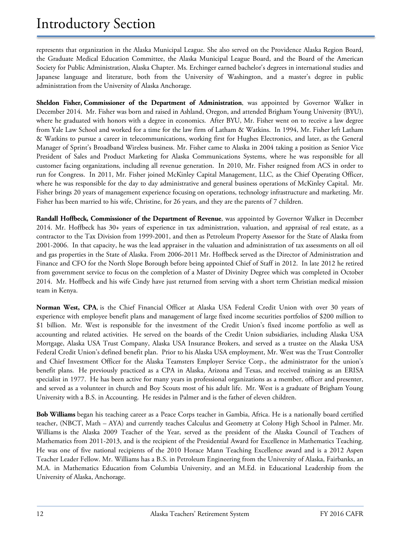represents that organization in the Alaska Municipal League. She also served on the Providence Alaska Region Board, the Graduate Medical Education Committee, the Alaska Municipal League Board, and the Board of the American Society for Public Administration, Alaska Chapter. Ms. Erchinger earned bachelor's degrees in international studies and Japanese language and literature, both from the University of Washington, and a master's degree in public administration from the University of Alaska Anchorage.

**Sheldon Fisher, Commissioner of the Department of Administration**, was appointed by Governor Walker in December 2014. Mr. Fisher was born and raised in Ashland, Oregon, and attended Brigham Young University (BYU), where he graduated with honors with a degree in economics. After BYU, Mr. Fisher went on to receive a law degree from Yale Law School and worked for a time for the law firm of Latham & Watkins. In 1994, Mr. Fisher left Latham & Watkins to pursue a career in telecommunications, working first for Hughes Electronics, and later, as the General Manager of Sprint's Broadband Wireless business. Mr. Fisher came to Alaska in 2004 taking a position as Senior Vice President of Sales and Product Marketing for Alaska Communications Systems, where he was responsible for all customer facing organizations, including all revenue generation. In 2010, Mr. Fisher resigned from ACS in order to run for Congress. In 2011, Mr. Fisher joined McKinley Capital Management, LLC, as the Chief Operating Officer, where he was responsible for the day to day administrative and general business operations of McKinley Capital. Mr. Fisher brings 20 years of management experience focusing on operations, technology infrastructure and marketing. Mr. Fisher has been married to his wife, Christine, for 26 years, and they are the parents of 7 children.

**Randall Hoffbeck, Commissioner of the Department of Revenue**, was appointed by Governor Walker in December 2014. Mr. Hoffbeck has 30+ years of experience in tax administration, valuation, and appraisal of real estate, as a contractor to the Tax Division from 1999-2001, and then as Petroleum Property Assessor for the State of Alaska from 2001-2006. In that capacity, he was the lead appraiser in the valuation and administration of tax assessments on all oil and gas properties in the State of Alaska. From 2006-2011 Mr. Hoffbeck served as the Director of Administration and Finance and CFO for the North Slope Borough before being appointed Chief of Staff in 2012. In late 2012 he retired from government service to focus on the completion of a Master of Divinity Degree which was completed in October 2014. Mr. Hoffbeck and his wife Cindy have just returned from serving with a short term Christian medical mission team in Kenya.

**Norman West, CPA**, is the Chief Financial Officer at Alaska USA Federal Credit Union with over 30 years of experience with employee benefit plans and management of large fixed income securities portfolios of \$200 million to \$1 billion. Mr. West is responsible for the investment of the Credit Union's fixed income portfolio as well as accounting and related activities. He served on the boards of the Credit Union subsidiaries, including Alaska USA Mortgage, Alaska USA Trust Company, Alaska USA Insurance Brokers, and served as a trustee on the Alaska USA Federal Credit Union's defined benefit plan. Prior to his Alaska USA employment, Mr. West was the Trust Controller and Chief Investment Officer for the Alaska Teamsters Employer Service Corp., the administrator for the union's benefit plans. He previously practiced as a CPA in Alaska, Arizona and Texas, and received training as an ERISA specialist in 1977. He has been active for many years in professional organizations as a member, officer and presenter, and served as a volunteer in church and Boy Scouts most of his adult life. Mr. West is a graduate of Brigham Young University with a B.S. in Accounting. He resides in Palmer and is the father of eleven children.

**Bob Williams** began his teaching career as a Peace Corps teacher in Gambia, Africa. He is a nationally board certified teacher, (NBCT, Math – AYA) and currently teaches Calculus and Geometry at Colony High School in Palmer. Mr. Williams is the Alaska 2009 Teacher of the Year, served as the president of the Alaska Council of Teachers of Mathematics from 2011-2013, and is the recipient of the Presidential Award for Excellence in Mathematics Teaching. He was one of five national recipients of the 2010 Horace Mann Teaching Excellence award and is a 2012 Aspen Teacher Leader Fellow. Mr. Williams has a B.S. in Petroleum Engineering from the University of Alaska, Fairbanks, an M.A. in Mathematics Education from Columbia University, and an M.Ed. in Educational Leadership from the University of Alaska, Anchorage.